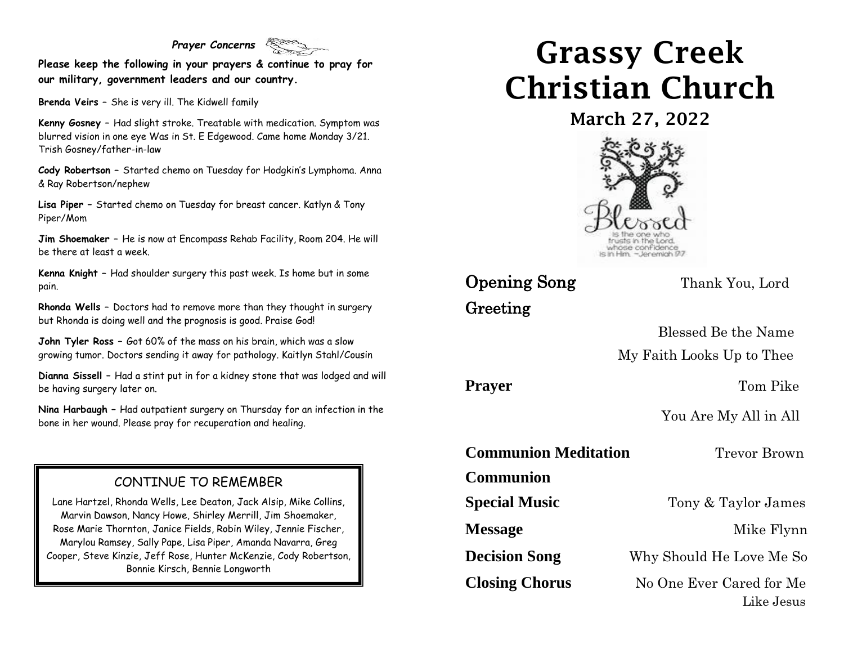#### *Prayer Concerns*

**Please keep the following in your prayers & continue to pray for our military, government leaders and our country.**

**Brenda Veirs –** She is very ill. The Kidwell family

**Kenny Gosney –** Had slight stroke. Treatable with medication. Symptom was blurred vision in one eye Was in St. E Edgewood. Came home Monday 3/21. Trish Gosney/father-in-law

**Cody Robertson –** Started chemo on Tuesday for Hodgkin's Lymphoma. Anna & Ray Robertson/nephew

**Lisa Piper –** Started chemo on Tuesday for breast cancer. Katlyn & Tony Piper/Mom

**Jim Shoemaker –** He is now at Encompass Rehab Facility, Room 204. He will be there at least a week.

**Kenna Knight –** Had shoulder surgery this past week. Is home but in some pain.

**Rhonda Wells –** Doctors had to remove more than they thought in surgery but Rhonda is doing well and the prognosis is good. Praise God!

**John Tyler Ross –** Got 60% of the mass on his brain, which was a slow growing tumor. Doctors sending it away for pathology. Kaitlyn Stahl/Cousin

**Dianna Sissell –** Had a stint put in for a kidney stone that was lodged and will be having surgery later on.

**Nina Harbaugh –** Had outpatient surgery on Thursday for an infection in the bone in her wound. Please pray for recuperation and healing.

#### CONTINUE TO REMEMBER

Lane Hartzel, Rhonda Wells, Lee Deaton, Jack Alsip, Mike Collins, Marvin Dawson, Nancy Howe, Shirley Merrill, Jim Shoemaker, Rose Marie Thornton, Janice Fields, Robin Wiley, Jennie Fischer, Marylou Ramsey, Sally Pape, Lisa Piper, Amanda Navarra, Greg Cooper, Steve Kinzie, Jeff Rose, Hunter McKenzie, Cody Robertson, Bonnie Kirsch, Bennie Longworth

# Grassy Creek Christian Church

March 27, 2022



## **Opening Song** Thank You, Lord Greeting

 Blessed Be the Name My Faith Looks Up to Thee

**Prayer** Tom Pike

You Are My All in All

**Communion Meditation** Trevor Brown

**Communion** 

**Special Music** Tony & Taylor James

**Message** Mike Flynn

**Decision Song** Why Should He Love Me So

**Closing Chorus** No One Ever Cared for Me Like Jesus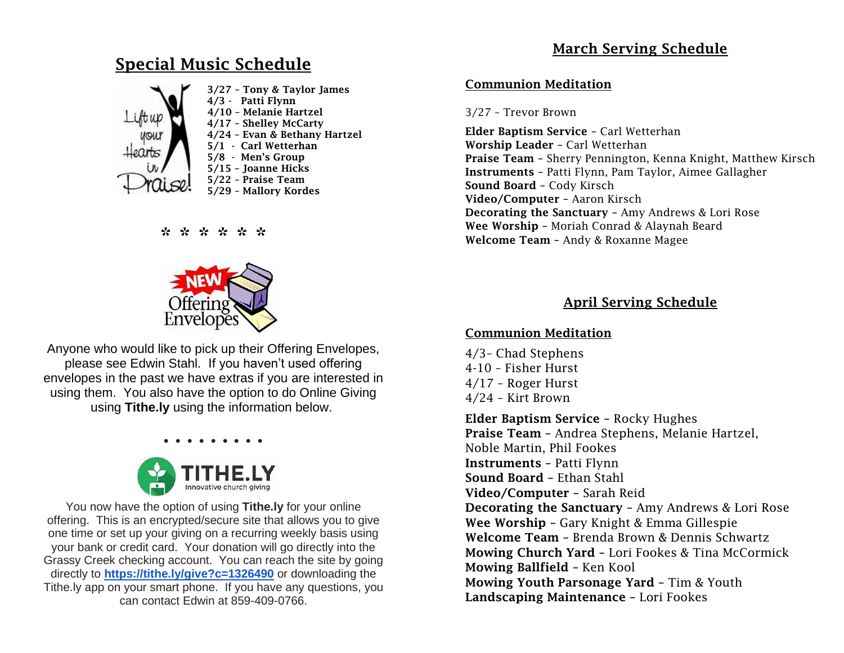### Special Music Schedule



#### \* \* \* \* \* \*



Anyone who would like to pick up their Offering Envelopes, please see Edwin Stahl. If you haven't used offering envelopes in the past we have extras if you are interested in using them. You also have the option to do Online Giving using **Tithe.ly** using the information below.



You now have the option of using **Tithe.ly** for your online offering. This is an encrypted/secure site that allows you to give one time or set up your giving on a recurring weekly basis using your bank or credit card. Your donation will go directly into the Grassy Creek checking account. You can reach the site by going directly to **[https://tithe.ly/give?c=1326490](https://urldefense.com/v3/__https:/tithe.ly/give?c=1326490__;!!ACWV5N9M2RV99hQ!fWolAwnURXg2iROxSWvcIF9cZNTvXBN10Xxg-oD4m_-op1xOs7aJzAsdX3UqPDE$)** or downloading the Tithe.ly app on your smart phone. If you have any questions, you can contact Edwin at 859-409-0766.

#### Communion Meditation

#### 3/27 – Trevor Brown

Elder Baptism Service – Carl Wetterhan Worship Leader – Carl Wetterhan Praise Team – Sherry Pennington, Kenna Knight, Matthew Kirsch Instruments – Patti Flynn, Pam Taylor, Aimee Gallagher Sound Board – Cody Kirsch Video/Computer – Aaron Kirsch Decorating the Sanctuary – Amy Andrews & Lori Rose Wee Worship – Moriah Conrad & Alaynah Beard Welcome Team – Andy & Roxanne Magee

#### April Serving Schedule

#### Communion Meditation

4/3– Chad Stephens 4-10 – Fisher Hurst 4/17 – Roger Hurst 4/24 – Kirt Brown

Elder Baptism Service – Rocky Hughes Praise Team – Andrea Stephens, Melanie Hartzel, Noble Martin, Phil Fookes Instruments – Patti Flynn Sound Board – Ethan Stahl Video/Computer – Sarah Reid Decorating the Sanctuary – Amy Andrews & Lori Rose Wee Worship – Gary Knight & Emma Gillespie Welcome Team – Brenda Brown & Dennis Schwartz Mowing Church Yard – Lori Fookes & Tina McCormick Mowing Ballfield – Ken Kool Mowing Youth Parsonage Yard – Tim & Youth Landscaping Maintenance – Lori Fookes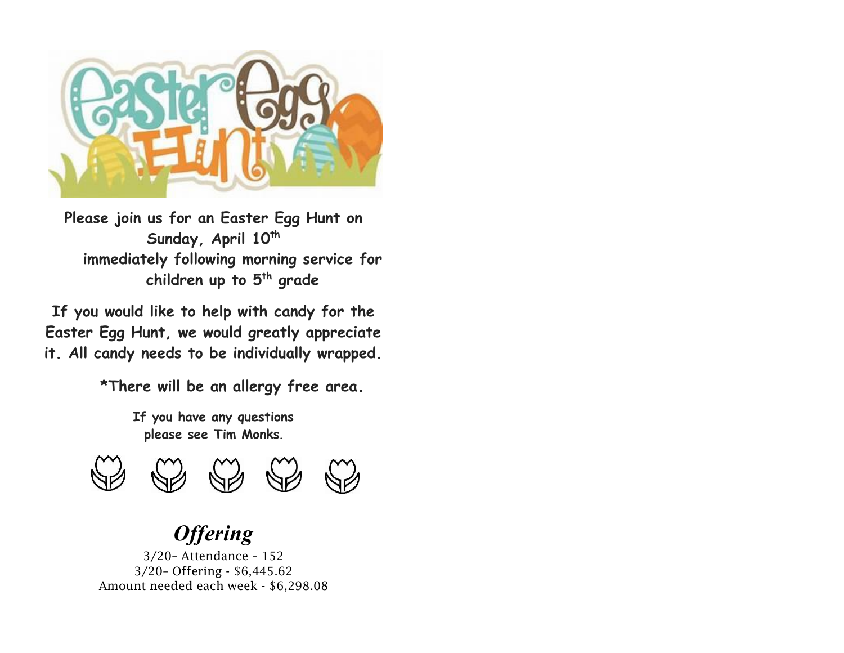

**Please join us for an Easter Egg Hunt on Sunday, April 10th immediately following morning service for children up to 5th grade**

**If you would like to help with candy for the Easter Egg Hunt, we would greatly appreciate it. All candy needs to be individually wrapped.**

**\*There will be an allergy free area.**

**If you have any questions please see Tim Monks**.



# *Offering*

3/20– Attendance – 152 3/20– Offering - \$6,445.62 Amount needed each week - \$6,298.08